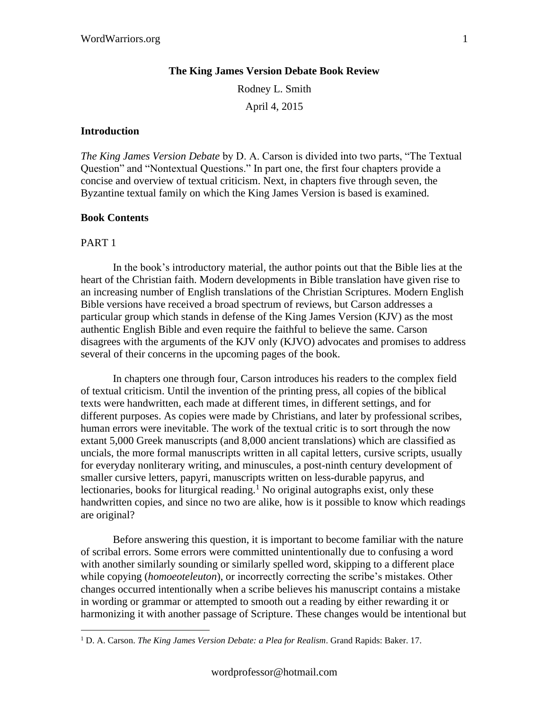### **The King James Version Debate Book Review**

Rodney L. Smith April 4, 2015

#### **Introduction**

*The King James Version Debate* by D. A. Carson is divided into two parts, "The Textual Question" and "Nontextual Questions." In part one, the first four chapters provide a concise and overview of textual criticism. Next, in chapters five through seven, the Byzantine textual family on which the King James Version is based is examined.

# **Book Contents**

### PART 1

In the book's introductory material, the author points out that the Bible lies at the heart of the Christian faith. Modern developments in Bible translation have given rise to an increasing number of English translations of the Christian Scriptures. Modern English Bible versions have received a broad spectrum of reviews, but Carson addresses a particular group which stands in defense of the King James Version (KJV) as the most authentic English Bible and even require the faithful to believe the same. Carson disagrees with the arguments of the KJV only (KJVO) advocates and promises to address several of their concerns in the upcoming pages of the book.

In chapters one through four, Carson introduces his readers to the complex field of textual criticism. Until the invention of the printing press, all copies of the biblical texts were handwritten, each made at different times, in different settings, and for different purposes. As copies were made by Christians, and later by professional scribes, human errors were inevitable. The work of the textual critic is to sort through the now extant 5,000 Greek manuscripts (and 8,000 ancient translations) which are classified as uncials, the more formal manuscripts written in all capital letters, cursive scripts, usually for everyday nonliterary writing, and minuscules, a post-ninth century development of smaller cursive letters, papyri, manuscripts written on less-durable papyrus, and lectionaries, books for liturgical reading.<sup>1</sup> No original autographs exist, only these handwritten copies, and since no two are alike, how is it possible to know which readings are original?

Before answering this question, it is important to become familiar with the nature of scribal errors. Some errors were committed unintentionally due to confusing a word with another similarly sounding or similarly spelled word, skipping to a different place while copying (*homoeoteleuton*), or incorrectly correcting the scribe's mistakes. Other changes occurred intentionally when a scribe believes his manuscript contains a mistake in wording or grammar or attempted to smooth out a reading by either rewarding it or harmonizing it with another passage of Scripture. These changes would be intentional but

<sup>1</sup> D. A. Carson. *The King James Version Debate: a Plea for Realism*. Grand Rapids: Baker. 17.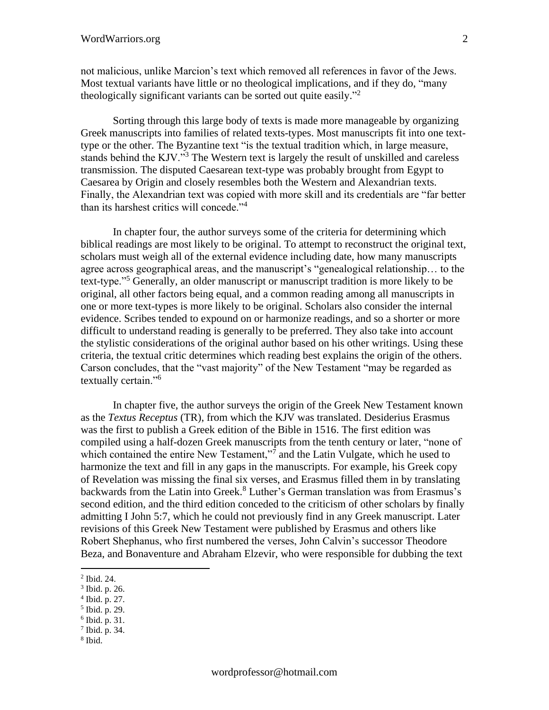not malicious, unlike Marcion's text which removed all references in favor of the Jews. Most textual variants have little or no theological implications, and if they do, "many theologically significant variants can be sorted out quite easily."<sup>2</sup>

Sorting through this large body of texts is made more manageable by organizing Greek manuscripts into families of related texts-types. Most manuscripts fit into one texttype or the other. The Byzantine text "is the textual tradition which, in large measure, stands behind the KJV."<sup>3</sup> The Western text is largely the result of unskilled and careless transmission. The disputed Caesarean text-type was probably brought from Egypt to Caesarea by Origin and closely resembles both the Western and Alexandrian texts. Finally, the Alexandrian text was copied with more skill and its credentials are "far better than its harshest critics will concede."<sup>4</sup>

In chapter four, the author surveys some of the criteria for determining which biblical readings are most likely to be original. To attempt to reconstruct the original text, scholars must weigh all of the external evidence including date, how many manuscripts agree across geographical areas, and the manuscript's "genealogical relationship… to the text-type."<sup>5</sup> Generally, an older manuscript or manuscript tradition is more likely to be original, all other factors being equal, and a common reading among all manuscripts in one or more text-types is more likely to be original. Scholars also consider the internal evidence. Scribes tended to expound on or harmonize readings, and so a shorter or more difficult to understand reading is generally to be preferred. They also take into account the stylistic considerations of the original author based on his other writings. Using these criteria, the textual critic determines which reading best explains the origin of the others. Carson concludes, that the "vast majority" of the New Testament "may be regarded as textually certain."<sup>6</sup>

In chapter five, the author surveys the origin of the Greek New Testament known as the *Textus Receptus* (TR), from which the KJV was translated. Desiderius Erasmus was the first to publish a Greek edition of the Bible in 1516. The first edition was compiled using a half-dozen Greek manuscripts from the tenth century or later, "none of which contained the entire New Testament,"<sup>7</sup> and the Latin Vulgate, which he used to harmonize the text and fill in any gaps in the manuscripts. For example, his Greek copy of Revelation was missing the final six verses, and Erasmus filled them in by translating backwards from the Latin into Greek.<sup>8</sup> Luther's German translation was from Erasmus's second edition, and the third edition conceded to the criticism of other scholars by finally admitting I John 5:7, which he could not previously find in any Greek manuscript. Later revisions of this Greek New Testament were published by Erasmus and others like Robert Shephanus, who first numbered the verses, John Calvin's successor Theodore Beza, and Bonaventure and Abraham Elzevir, who were responsible for dubbing the text

- 3 Ibid. p. 26.
- 4 Ibid. p. 27.
- 5 Ibid. p. 29.
- 6 Ibid. p. 31.
- 7 Ibid. p. 34.
- 8 Ibid.

<sup>2</sup> Ibid. 24.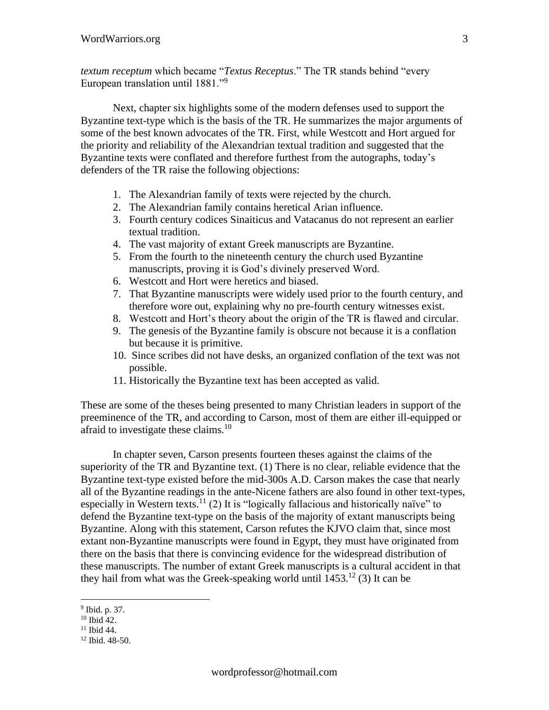*textum receptum* which became "*Textus Receptus*." The TR stands behind "every European translation until 1881."<sup>9</sup>

Next, chapter six highlights some of the modern defenses used to support the Byzantine text-type which is the basis of the TR. He summarizes the major arguments of some of the best known advocates of the TR. First, while Westcott and Hort argued for the priority and reliability of the Alexandrian textual tradition and suggested that the Byzantine texts were conflated and therefore furthest from the autographs, today's defenders of the TR raise the following objections:

- 1. The Alexandrian family of texts were rejected by the church.
- 2. The Alexandrian family contains heretical Arian influence.
- 3. Fourth century codices Sinaiticus and Vatacanus do not represent an earlier textual tradition.
- 4. The vast majority of extant Greek manuscripts are Byzantine.
- 5. From the fourth to the nineteenth century the church used Byzantine manuscripts, proving it is God's divinely preserved Word.
- 6. Westcott and Hort were heretics and biased.
- 7. That Byzantine manuscripts were widely used prior to the fourth century, and therefore wore out, explaining why no pre-fourth century witnesses exist.
- 8. Westcott and Hort's theory about the origin of the TR is flawed and circular.
- 9. The genesis of the Byzantine family is obscure not because it is a conflation but because it is primitive.
- 10. Since scribes did not have desks, an organized conflation of the text was not possible.
- 11. Historically the Byzantine text has been accepted as valid.

These are some of the theses being presented to many Christian leaders in support of the preeminence of the TR, and according to Carson, most of them are either ill-equipped or afraid to investigate these claims.<sup>10</sup>

In chapter seven, Carson presents fourteen theses against the claims of the superiority of the TR and Byzantine text. (1) There is no clear, reliable evidence that the Byzantine text-type existed before the mid-300s A.D. Carson makes the case that nearly all of the Byzantine readings in the ante-Nicene fathers are also found in other text-types, especially in Western texts.<sup>11</sup> (2) It is "logically fallacious and historically naïve" to defend the Byzantine text-type on the basis of the majority of extant manuscripts being Byzantine. Along with this statement, Carson refutes the KJVO claim that, since most extant non-Byzantine manuscripts were found in Egypt, they must have originated from there on the basis that there is convincing evidence for the widespread distribution of these manuscripts. The number of extant Greek manuscripts is a cultural accident in that they hail from what was the Greek-speaking world until  $1453$ <sup>12</sup> (3) It can be

<sup>&</sup>lt;sup>9</sup> Ibid. p. 37.

 $10$  Ibid 42.

 $11$  Ibid 44.

<sup>12</sup> Ibid. 48-50.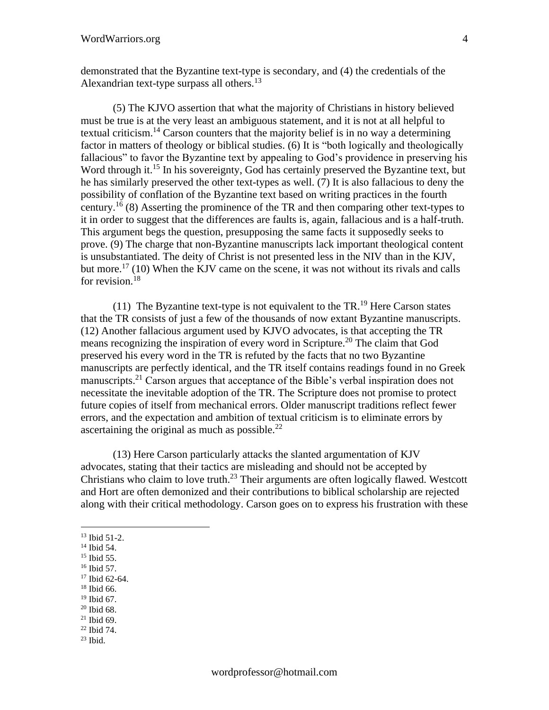demonstrated that the Byzantine text-type is secondary, and (4) the credentials of the Alexandrian text-type surpass all others.<sup>13</sup>

(5) The KJVO assertion that what the majority of Christians in history believed must be true is at the very least an ambiguous statement, and it is not at all helpful to textual criticism.<sup>14</sup> Carson counters that the majority belief is in no way a determining factor in matters of theology or biblical studies. (6) It is "both logically and theologically fallacious" to favor the Byzantine text by appealing to God's providence in preserving his Word through it.<sup>15</sup> In his sovereignty, God has certainly preserved the Byzantine text, but he has similarly preserved the other text-types as well. (7) It is also fallacious to deny the possibility of conflation of the Byzantine text based on writing practices in the fourth century.<sup>16</sup> (8) Asserting the prominence of the TR and then comparing other text-types to it in order to suggest that the differences are faults is, again, fallacious and is a half-truth. This argument begs the question, presupposing the same facts it supposedly seeks to prove. (9) The charge that non-Byzantine manuscripts lack important theological content is unsubstantiated. The deity of Christ is not presented less in the NIV than in the KJV, but more.<sup>17</sup> (10) When the KJV came on the scene, it was not without its rivals and calls for revision.<sup>18</sup>

(11) The Byzantine text-type is not equivalent to the  $TR<sup>19</sup>$  Here Carson states that the TR consists of just a few of the thousands of now extant Byzantine manuscripts. (12) Another fallacious argument used by KJVO advocates, is that accepting the TR means recognizing the inspiration of every word in Scripture.<sup>20</sup> The claim that God preserved his every word in the TR is refuted by the facts that no two Byzantine manuscripts are perfectly identical, and the TR itself contains readings found in no Greek manuscripts.<sup>21</sup> Carson argues that acceptance of the Bible's verbal inspiration does not necessitate the inevitable adoption of the TR. The Scripture does not promise to protect future copies of itself from mechanical errors. Older manuscript traditions reflect fewer errors, and the expectation and ambition of textual criticism is to eliminate errors by ascertaining the original as much as possible.<sup>22</sup>

(13) Here Carson particularly attacks the slanted argumentation of KJV advocates, stating that their tactics are misleading and should not be accepted by Christians who claim to love truth.<sup>23</sup> Their arguments are often logically flawed. Westcott and Hort are often demonized and their contributions to biblical scholarship are rejected along with their critical methodology. Carson goes on to express his frustration with these

- <sup>16</sup> Ibid 57.
- <sup>17</sup> Ibid 62-64.
- <sup>18</sup> Ibid 66.  $19$  Ibid 67.
- <sup>20</sup> Ibid 68.
- $21$  Ibid 69.
- <sup>22</sup> Ibid 74.
- $23$  Ibid.

<sup>13</sup> Ibid 51-2.

<sup>&</sup>lt;sup>14</sup> Ibid 54.

<sup>&</sup>lt;sup>15</sup> Ibid 55.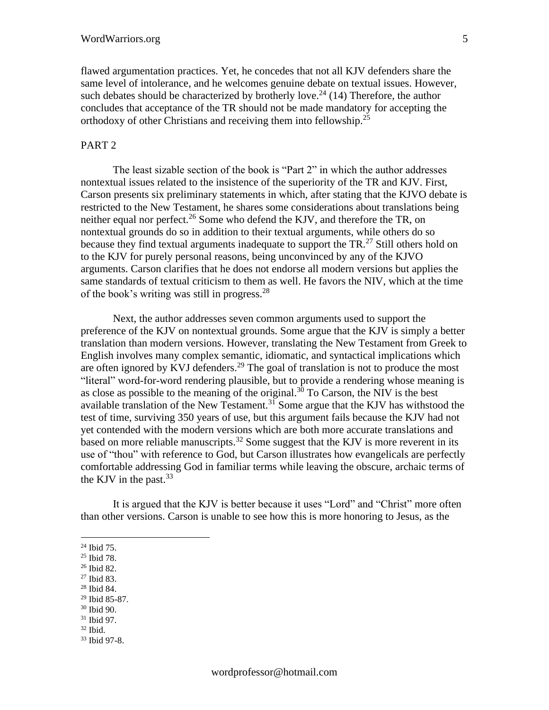flawed argumentation practices. Yet, he concedes that not all KJV defenders share the same level of intolerance, and he welcomes genuine debate on textual issues. However, such debates should be characterized by brotherly love.<sup>24</sup> (14) Therefore, the author concludes that acceptance of the TR should not be made mandatory for accepting the orthodoxy of other Christians and receiving them into fellowship.<sup>25</sup>

## PART<sub>2</sub>

The least sizable section of the book is "Part 2" in which the author addresses nontextual issues related to the insistence of the superiority of the TR and KJV. First, Carson presents six preliminary statements in which, after stating that the KJVO debate is restricted to the New Testament, he shares some considerations about translations being neither equal nor perfect.<sup>26</sup> Some who defend the KJV, and therefore the TR, on nontextual grounds do so in addition to their textual arguments, while others do so because they find textual arguments inadequate to support the TR.<sup>27</sup> Still others hold on to the KJV for purely personal reasons, being unconvinced by any of the KJVO arguments. Carson clarifies that he does not endorse all modern versions but applies the same standards of textual criticism to them as well. He favors the NIV, which at the time of the book's writing was still in progress.<sup>28</sup>

Next, the author addresses seven common arguments used to support the preference of the KJV on nontextual grounds. Some argue that the KJV is simply a better translation than modern versions. However, translating the New Testament from Greek to English involves many complex semantic, idiomatic, and syntactical implications which are often ignored by KVJ defenders.<sup>29</sup> The goal of translation is not to produce the most "literal" word-for-word rendering plausible, but to provide a rendering whose meaning is as close as possible to the meaning of the original.<sup>30</sup> To Carson, the NIV is the best available translation of the New Testament.<sup>31</sup> Some argue that the KJV has withstood the test of time, surviving 350 years of use, but this argument fails because the KJV had not yet contended with the modern versions which are both more accurate translations and based on more reliable manuscripts.<sup>32</sup> Some suggest that the KJV is more reverent in its use of "thou" with reference to God, but Carson illustrates how evangelicals are perfectly comfortable addressing God in familiar terms while leaving the obscure, archaic terms of the KJV in the past. $33$ 

It is argued that the KJV is better because it uses "Lord" and "Christ" more often than other versions. Carson is unable to see how this is more honoring to Jesus, as the

<sup>28</sup> Ibid 84.

- <sup>30</sup> Ibid 90.
- <sup>31</sup> Ibid 97.
- $32$  Ibid.

<sup>24</sup> Ibid 75.

<sup>25</sup> Ibid 78.

<sup>26</sup> Ibid 82.

<sup>27</sup> Ibid 83.

<sup>29</sup> Ibid 85-87.

<sup>33</sup> Ibid 97-8.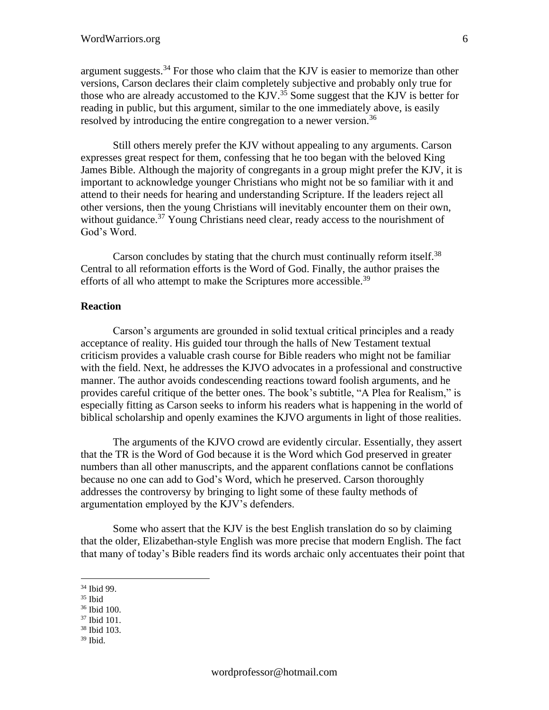argument suggests. $34$  For those who claim that the KJV is easier to memorize than other versions, Carson declares their claim completely subjective and probably only true for those who are already accustomed to the KJV.<sup>35</sup> Some suggest that the KJV is better for reading in public, but this argument, similar to the one immediately above, is easily resolved by introducing the entire congregation to a newer version.<sup>36</sup>

Still others merely prefer the KJV without appealing to any arguments. Carson expresses great respect for them, confessing that he too began with the beloved King James Bible. Although the majority of congregants in a group might prefer the KJV, it is important to acknowledge younger Christians who might not be so familiar with it and attend to their needs for hearing and understanding Scripture. If the leaders reject all other versions, then the young Christians will inevitably encounter them on their own, without guidance.<sup>37</sup> Young Christians need clear, ready access to the nourishment of God's Word.

Carson concludes by stating that the church must continually reform itself.<sup>38</sup> Central to all reformation efforts is the Word of God. Finally, the author praises the efforts of all who attempt to make the Scriptures more accessible.<sup>39</sup>

# **Reaction**

Carson's arguments are grounded in solid textual critical principles and a ready acceptance of reality. His guided tour through the halls of New Testament textual criticism provides a valuable crash course for Bible readers who might not be familiar with the field. Next, he addresses the KJVO advocates in a professional and constructive manner. The author avoids condescending reactions toward foolish arguments, and he provides careful critique of the better ones. The book's subtitle, "A Plea for Realism," is especially fitting as Carson seeks to inform his readers what is happening in the world of biblical scholarship and openly examines the KJVO arguments in light of those realities.

The arguments of the KJVO crowd are evidently circular. Essentially, they assert that the TR is the Word of God because it is the Word which God preserved in greater numbers than all other manuscripts, and the apparent conflations cannot be conflations because no one can add to God's Word, which he preserved. Carson thoroughly addresses the controversy by bringing to light some of these faulty methods of argumentation employed by the KJV's defenders.

Some who assert that the KJV is the best English translation do so by claiming that the older, Elizabethan-style English was more precise that modern English. The fact that many of today's Bible readers find its words archaic only accentuates their point that

<sup>36</sup> Ibid 100.

- <sup>38</sup> Ibid 103.
- <sup>39</sup> Ibid.

<sup>34</sup> Ibid 99.

 $35$  Ibid

<sup>37</sup> Ibid 101.